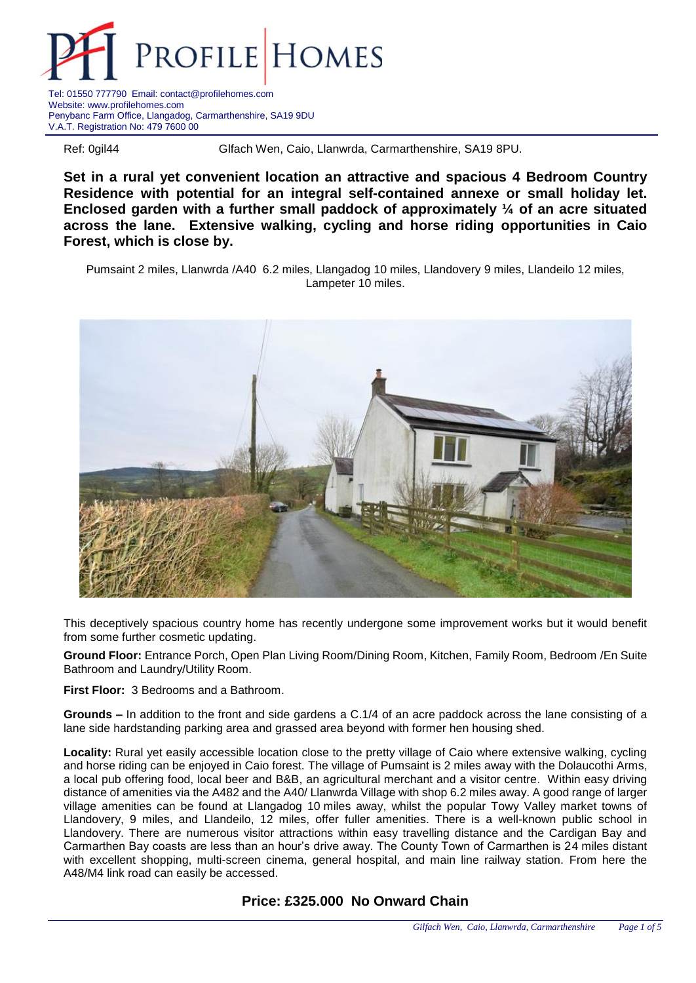

Tel: 01550 777790 Email: contact@profilehomes.com Website: www.profilehomes.com Penybanc Farm Office, Llangadog, Carmarthenshire, SA19 9DU V.A.T. Registration No: 479 7600 00

Ref: 0gil44 Glfach Wen, Caio, Llanwrda, Carmarthenshire, SA19 8PU.

**Set in a rural yet convenient location an attractive and spacious 4 Bedroom Country Residence with potential for an integral self-contained annexe or small holiday let. Enclosed garden with a further small paddock of approximately ¼ of an acre situated across the lane. Extensive walking, cycling and horse riding opportunities in Caio Forest, which is close by.**

Pumsaint 2 miles, Llanwrda /A40 6.2 miles, Llangadog 10 miles, Llandovery 9 miles, Llandeilo 12 miles, Lampeter 10 miles.



This deceptively spacious country home has recently undergone some improvement works but it would benefit from some further cosmetic updating.

**Ground Floor:** Entrance Porch, Open Plan Living Room/Dining Room, Kitchen, Family Room, Bedroom /En Suite Bathroom and Laundry/Utility Room.

**First Floor:** 3 Bedrooms and a Bathroom.

**Grounds –** In addition to the front and side gardens a C.1/4 of an acre paddock across the lane consisting of a lane side hardstanding parking area and grassed area beyond with former hen housing shed.

**Locality:** Rural yet easily accessible location close to the pretty village of Caio where extensive walking, cycling and horse riding can be enjoyed in Caio forest. The village of Pumsaint is 2 miles away with the Dolaucothi Arms, a local pub offering food, local beer and B&B, an agricultural merchant and a visitor centre. Within easy driving distance of amenities via the A482 and the A40/ Llanwrda Village with shop 6.2 miles away. A good range of larger village amenities can be found at Llangadog 10 miles away, whilst the popular Towy Valley market towns of Llandovery, 9 miles, and Llandeilo, 12 miles, offer fuller amenities. There is a well-known public school in Llandovery. There are numerous visitor attractions within easy travelling distance and the Cardigan Bay and Carmarthen Bay coasts are less than an hour's drive away. The County Town of Carmarthen is 24 miles distant with excellent shopping, multi-screen cinema, general hospital, and main line railway station. From here the A48/M4 link road can easily be accessed.

**Price: £325.000 No Onward Chain**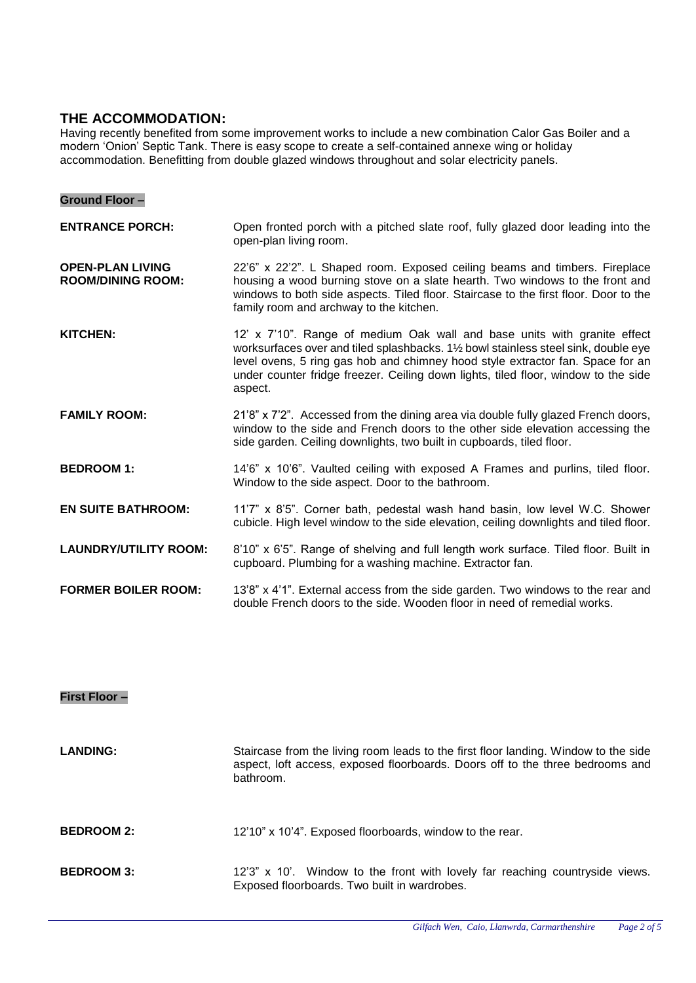# **THE ACCOMMODATION:**

**Ground Floor –**

Having recently benefited from some improvement works to include a new combination Calor Gas Boiler and a modern 'Onion' Septic Tank. There is easy scope to create a self-contained annexe wing or holiday accommodation. Benefitting from double glazed windows throughout and solar electricity panels.

| <b>ENTRANCE PORCH:</b>                              | Open fronted porch with a pitched slate roof, fully glazed door leading into the<br>open-plan living room.                                                                                                                                                                                                                                         |
|-----------------------------------------------------|----------------------------------------------------------------------------------------------------------------------------------------------------------------------------------------------------------------------------------------------------------------------------------------------------------------------------------------------------|
| <b>OPEN-PLAN LIVING</b><br><b>ROOM/DINING ROOM:</b> | 22'6" x 22'2". L Shaped room. Exposed ceiling beams and timbers. Fireplace<br>housing a wood burning stove on a slate hearth. Two windows to the front and<br>windows to both side aspects. Tiled floor. Staircase to the first floor. Door to the<br>family room and archway to the kitchen.                                                      |
| <b>KITCHEN:</b>                                     | 12' x 7'10". Range of medium Oak wall and base units with granite effect<br>worksurfaces over and tiled splashbacks. 11/2 bowl stainless steel sink, double eye<br>level ovens, 5 ring gas hob and chimney hood style extractor fan. Space for an<br>under counter fridge freezer. Ceiling down lights, tiled floor, window to the side<br>aspect. |
| <b>FAMILY ROOM:</b>                                 | 21'8" x 7'2". Accessed from the dining area via double fully glazed French doors,<br>window to the side and French doors to the other side elevation accessing the<br>side garden. Ceiling downlights, two built in cupboards, tiled floor.                                                                                                        |
| <b>BEDROOM 1:</b>                                   | 14'6" x 10'6". Vaulted ceiling with exposed A Frames and purlins, tiled floor.<br>Window to the side aspect. Door to the bathroom.                                                                                                                                                                                                                 |
| <b>EN SUITE BATHROOM:</b>                           | 11'7" x 8'5". Corner bath, pedestal wash hand basin, low level W.C. Shower<br>cubicle. High level window to the side elevation, ceiling downlights and tiled floor.                                                                                                                                                                                |
| <b>LAUNDRY/UTILITY ROOM:</b>                        | 8'10" x 6'5". Range of shelving and full length work surface. Tiled floor. Built in<br>cupboard. Plumbing for a washing machine. Extractor fan.                                                                                                                                                                                                    |
| <b>FORMER BOILER ROOM:</b>                          | 13'8" x 4'1". External access from the side garden. Two windows to the rear and                                                                                                                                                                                                                                                                    |

double French doors to the side. Wooden floor in need of remedial works.

## **First Floor –**

| <b>LANDING:</b>   | Staircase from the living room leads to the first floor landing. Window to the side<br>aspect, loft access, exposed floorboards. Doors off to the three bedrooms and<br>bathroom. |
|-------------------|-----------------------------------------------------------------------------------------------------------------------------------------------------------------------------------|
| <b>BEDROOM 2:</b> | 12'10" x 10'4". Exposed floorboards, window to the rear.                                                                                                                          |
| <b>BEDROOM 3:</b> | 12'3" x 10'. Window to the front with lovely far reaching countryside views.<br>Exposed floorboards. Two built in wardrobes.                                                      |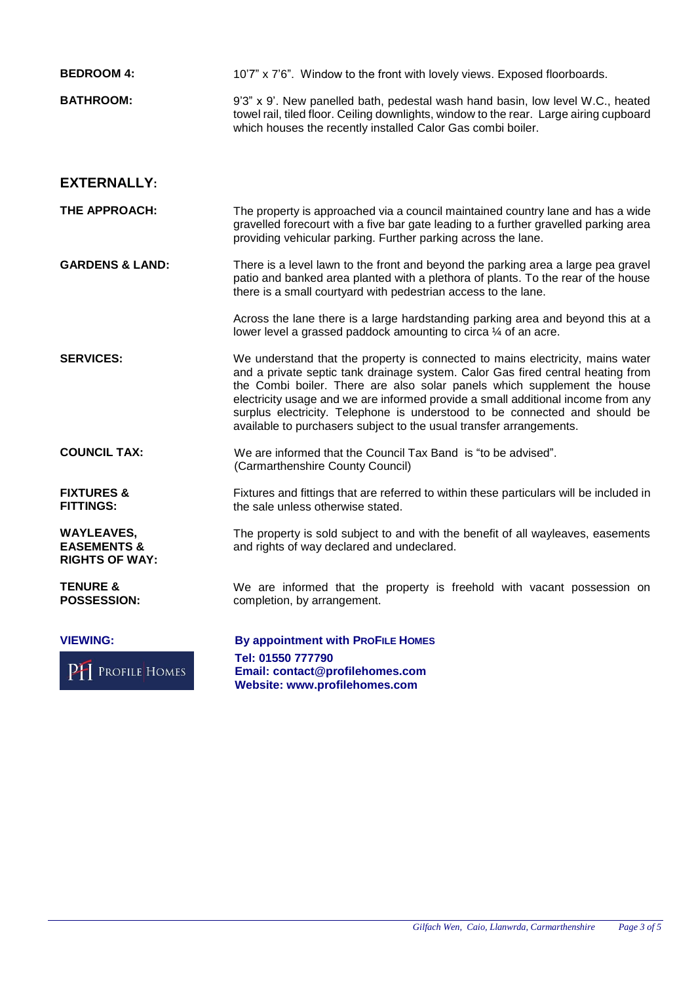| <b>BEDROOM 4:</b>                                                    | 10'7" x 7'6". Window to the front with lovely views. Exposed floorboards.                                                                                                                                                                                                                                                                                                                                                                                                              |
|----------------------------------------------------------------------|----------------------------------------------------------------------------------------------------------------------------------------------------------------------------------------------------------------------------------------------------------------------------------------------------------------------------------------------------------------------------------------------------------------------------------------------------------------------------------------|
| <b>BATHROOM:</b>                                                     | 9'3" x 9'. New panelled bath, pedestal wash hand basin, low level W.C., heated<br>towel rail, tiled floor. Ceiling downlights, window to the rear. Large airing cupboard<br>which houses the recently installed Calor Gas combi boiler.                                                                                                                                                                                                                                                |
| <b>EXTERNALLY:</b>                                                   |                                                                                                                                                                                                                                                                                                                                                                                                                                                                                        |
| THE APPROACH:                                                        | The property is approached via a council maintained country lane and has a wide<br>gravelled forecourt with a five bar gate leading to a further gravelled parking area<br>providing vehicular parking. Further parking across the lane.                                                                                                                                                                                                                                               |
| <b>GARDENS &amp; LAND:</b>                                           | There is a level lawn to the front and beyond the parking area a large pea gravel<br>patio and banked area planted with a plethora of plants. To the rear of the house<br>there is a small courtyard with pedestrian access to the lane.                                                                                                                                                                                                                                               |
|                                                                      | Across the lane there is a large hardstanding parking area and beyond this at a<br>lower level a grassed paddock amounting to circa 1/4 of an acre.                                                                                                                                                                                                                                                                                                                                    |
| <b>SERVICES:</b>                                                     | We understand that the property is connected to mains electricity, mains water<br>and a private septic tank drainage system. Calor Gas fired central heating from<br>the Combi boiler. There are also solar panels which supplement the house<br>electricity usage and we are informed provide a small additional income from any<br>surplus electricity. Telephone is understood to be connected and should be<br>available to purchasers subject to the usual transfer arrangements. |
| <b>COUNCIL TAX:</b>                                                  | We are informed that the Council Tax Band is "to be advised".<br>(Carmarthenshire County Council)                                                                                                                                                                                                                                                                                                                                                                                      |
| <b>FIXTURES &amp;</b><br><b>FITTINGS:</b>                            | Fixtures and fittings that are referred to within these particulars will be included in<br>the sale unless otherwise stated.                                                                                                                                                                                                                                                                                                                                                           |
| <b>WAYLEAVES,</b><br><b>EASEMENTS &amp;</b><br><b>RIGHTS OF WAY:</b> | The property is sold subject to and with the benefit of all wayleaves, easements<br>and rights of way declared and undeclared.                                                                                                                                                                                                                                                                                                                                                         |
| <b>TENURE &amp;</b><br><b>POSSESSION:</b>                            | We are informed that the property is freehold with vacant possession on<br>completion, by arrangement.                                                                                                                                                                                                                                                                                                                                                                                 |
| <b>VIEWING:</b><br><b>PH</b> PROFILE HOMES                           | By appointment with PROFILE HOMES<br>Tel: 01550 777790<br>Email: contact@profilehomes.com<br>Website: www.profilehomes.com                                                                                                                                                                                                                                                                                                                                                             |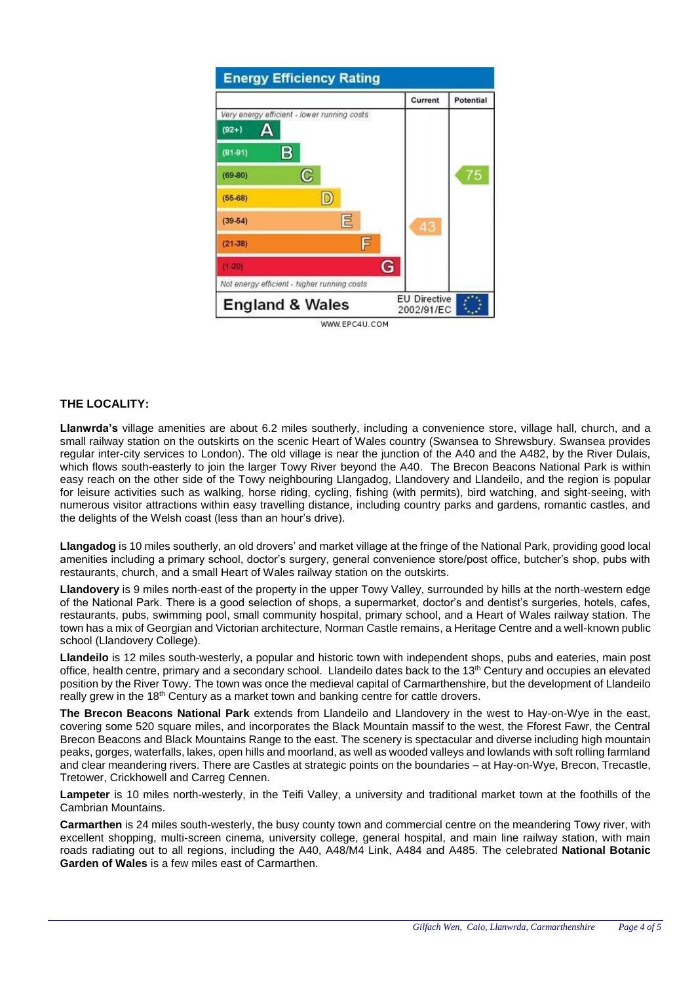| <b>Energy Efficiency Rating</b>             |                                   |           |
|---------------------------------------------|-----------------------------------|-----------|
|                                             | Current                           | Potential |
| Very energy efficient - lower running costs |                                   |           |
| Δ<br>$(92+)$                                |                                   |           |
| в<br>$(81-91)$                              |                                   |           |
| င<br>$(69-80)$                              |                                   | 75        |
| D<br>$(55-68)$                              |                                   |           |
| E<br>$(39-54)$                              | 43                                |           |
| F<br>$(21-38)$                              |                                   |           |
| $(1 - 20)$                                  | G                                 |           |
| Not energy efficient - higher running costs |                                   |           |
| <b>England &amp; Wales</b>                  | <b>EU Directive</b><br>2002/91/EC |           |
| WWW.EPC4U.COM                               |                                   |           |

### **THE LOCALITY:**

**Llanwrda's** village amenities are about 6.2 miles southerly, including a convenience store, village hall, church, and a small railway station on the outskirts on the scenic Heart of Wales country (Swansea to Shrewsbury. Swansea provides regular inter-city services to London). The old village is near the junction of the A40 and the A482, by the River Dulais, which flows south-easterly to join the larger Towy River beyond the A40. The Brecon Beacons National Park is within easy reach on the other side of the Towy neighbouring Llangadog, Llandovery and Llandeilo, and the region is popular for leisure activities such as walking, horse riding, cycling, fishing (with permits), bird watching, and sight-seeing, with numerous visitor attractions within easy travelling distance, including country parks and gardens, romantic castles, and the delights of the Welsh coast (less than an hour's drive).

**Llangadog** is 10 miles southerly, an old drovers' and market village at the fringe of the National Park, providing good local amenities including a primary school, doctor's surgery, general convenience store/post office, butcher's shop, pubs with restaurants, church, and a small Heart of Wales railway station on the outskirts.

**Llandovery** is 9 miles north-east of the property in the upper Towy Valley, surrounded by hills at the north-western edge of the National Park. There is a good selection of shops, a supermarket, doctor's and dentist's surgeries, hotels, cafes, restaurants, pubs, swimming pool, small community hospital, primary school, and a Heart of Wales railway station. The town has a mix of Georgian and Victorian architecture, Norman Castle remains, a Heritage Centre and a well-known public school (Llandovery College).

**Llandeilo** is 12 miles south-westerly, a popular and historic town with independent shops, pubs and eateries, main post office, health centre, primary and a secondary school. Llandeilo dates back to the 13<sup>th</sup> Century and occupies an elevated position by the River Towy. The town was once the medieval capital of Carmarthenshire, but the development of Llandeilo really grew in the 18<sup>th</sup> Century as a market town and banking centre for cattle drovers.

**The Brecon Beacons National Park** extends from Llandeilo and Llandovery in the west to Hay-on-Wye in the east, covering some 520 square miles, and incorporates the Black Mountain massif to the west, the Fforest Fawr, the Central Brecon Beacons and Black Mountains Range to the east. The scenery is spectacular and diverse including high mountain peaks, gorges, waterfalls, lakes, open hills and moorland, as well as wooded valleys and lowlands with soft rolling farmland and clear meandering rivers. There are Castles at strategic points on the boundaries – at Hay-on-Wye, Brecon, Trecastle, Tretower, Crickhowell and Carreg Cennen.

**Lampeter** is 10 miles north-westerly, in the Teifi Valley, a university and traditional market town at the foothills of the Cambrian Mountains.

**Carmarthen** is 24 miles south-westerly, the busy county town and commercial centre on the meandering Towy river, with excellent shopping, multi-screen cinema, university college, general hospital, and main line railway station, with main roads radiating out to all regions, including the A40, A48/M4 Link, A484 and A485. The celebrated **National Botanic Garden of Wales** is a few miles east of Carmarthen.